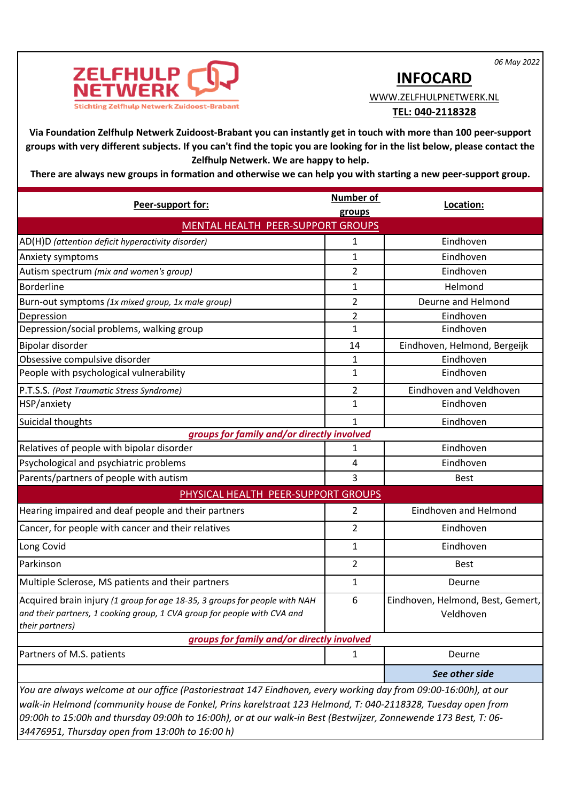*06 May 2022*



## **INFOCARD**

WWW.ZELFHULPNETWERK.NL

## **TEL: 040-2118328**

**Via Foundation Zelfhulp Netwerk Zuidoost-Brabant you can instantly get in touch with more than 100 peer-support groups with very different subjects. If you can't find the topic you are looking for in the list below, please contact the Zelfhulp Netwerk. We are happy to help.** 

**There are always new groups in formation and otherwise we can help you with starting a new peer-support group.** 

| Peer-support for:                                                                                                                                                                                                                                                                                                                                                                                       | <b>Number of</b> | Location:                                      |  |
|---------------------------------------------------------------------------------------------------------------------------------------------------------------------------------------------------------------------------------------------------------------------------------------------------------------------------------------------------------------------------------------------------------|------------------|------------------------------------------------|--|
| groups<br>MENTAL HEALTH PEER-SUPPORT GROUPS                                                                                                                                                                                                                                                                                                                                                             |                  |                                                |  |
| AD(H)D (attention deficit hyperactivity disorder)                                                                                                                                                                                                                                                                                                                                                       | 1                | Eindhoven                                      |  |
| Anxiety symptoms                                                                                                                                                                                                                                                                                                                                                                                        | $\mathbf{1}$     | Eindhoven                                      |  |
| Autism spectrum (mix and women's group)                                                                                                                                                                                                                                                                                                                                                                 | 2                | Eindhoven                                      |  |
| <b>Borderline</b>                                                                                                                                                                                                                                                                                                                                                                                       | 1                | Helmond                                        |  |
| Burn-out symptoms (1x mixed group, 1x male group)                                                                                                                                                                                                                                                                                                                                                       | $\overline{2}$   | Deurne and Helmond                             |  |
| Depression                                                                                                                                                                                                                                                                                                                                                                                              | 2                | Eindhoven                                      |  |
| Depression/social problems, walking group                                                                                                                                                                                                                                                                                                                                                               | 1                | Eindhoven                                      |  |
| Bipolar disorder                                                                                                                                                                                                                                                                                                                                                                                        | 14               | Eindhoven, Helmond, Bergeijk                   |  |
| Obsessive compulsive disorder                                                                                                                                                                                                                                                                                                                                                                           | 1                | Eindhoven                                      |  |
| People with psychological vulnerability                                                                                                                                                                                                                                                                                                                                                                 | 1                | Eindhoven                                      |  |
| P.T.S.S. (Post Traumatic Stress Syndrome)                                                                                                                                                                                                                                                                                                                                                               | 2                | Eindhoven and Veldhoven                        |  |
| HSP/anxiety                                                                                                                                                                                                                                                                                                                                                                                             | 1                | Eindhoven                                      |  |
| Suicidal thoughts                                                                                                                                                                                                                                                                                                                                                                                       | $\mathbf{1}$     | Eindhoven                                      |  |
| groups for family and/or directly involved                                                                                                                                                                                                                                                                                                                                                              |                  |                                                |  |
| Relatives of people with bipolar disorder                                                                                                                                                                                                                                                                                                                                                               | 1                | Eindhoven                                      |  |
| Psychological and psychiatric problems                                                                                                                                                                                                                                                                                                                                                                  | 4                | Eindhoven                                      |  |
| Parents/partners of people with autism                                                                                                                                                                                                                                                                                                                                                                  | 3                | <b>Best</b>                                    |  |
| PHYSICAL HEALTH PEER-SUPPORT GROUPS                                                                                                                                                                                                                                                                                                                                                                     |                  |                                                |  |
| Hearing impaired and deaf people and their partners                                                                                                                                                                                                                                                                                                                                                     | $\overline{2}$   | Eindhoven and Helmond                          |  |
| Cancer, for people with cancer and their relatives                                                                                                                                                                                                                                                                                                                                                      | $\overline{2}$   | Eindhoven                                      |  |
| Long Covid                                                                                                                                                                                                                                                                                                                                                                                              | 1                | Eindhoven                                      |  |
| Parkinson                                                                                                                                                                                                                                                                                                                                                                                               | $\overline{2}$   | <b>Best</b>                                    |  |
| Multiple Sclerose, MS patients and their partners                                                                                                                                                                                                                                                                                                                                                       | 1                | Deurne                                         |  |
| Acquired brain injury (1 group for age 18-35, 3 groups for people with NAH<br>and their partners, 1 cooking group, 1 CVA group for people with CVA and<br>their partners)                                                                                                                                                                                                                               | 6                | Eindhoven, Helmond, Best, Gemert,<br>Veldhoven |  |
| groups for family and/or directly involved                                                                                                                                                                                                                                                                                                                                                              |                  |                                                |  |
| Partners of M.S. patients                                                                                                                                                                                                                                                                                                                                                                               | 1                | Deurne                                         |  |
|                                                                                                                                                                                                                                                                                                                                                                                                         |                  | See other side                                 |  |
| You are always welcome at our office (Pastoriestraat 147 Eindhoven, every working day from 09:00-16:00h), at our<br>walk-in Helmond (community house de Fonkel, Prins karelstraat 123 Helmond, T: 040-2118328, Tuesday open from<br>09:00h to 15:00h and thursday 09:00h to 16:00h), or at our walk-in Best (Bestwijzer, Zonnewende 173 Best, T: 06-<br>34476951, Thursday open from 13:00h to 16:00 h) |                  |                                                |  |